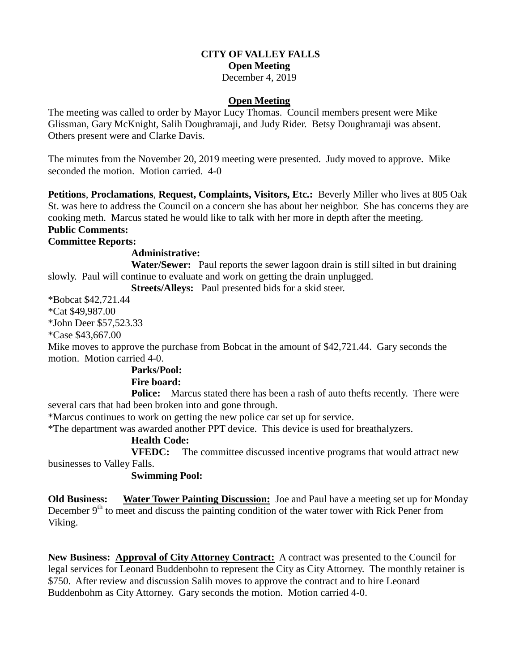# **CITY OF VALLEY FALLS Open Meeting**

December 4, 2019

## **Open Meeting**

The meeting was called to order by Mayor Lucy Thomas. Council members present were Mike Glissman, Gary McKnight, Salih Doughramaji, and Judy Rider. Betsy Doughramaji was absent. Others present were and Clarke Davis.

The minutes from the November 20, 2019 meeting were presented. Judy moved to approve. Mike seconded the motion. Motion carried. 4-0

**Petitions**, **Proclamations**, **Request, Complaints, Visitors, Etc.:** Beverly Miller who lives at 805 Oak St. was here to address the Council on a concern she has about her neighbor. She has concerns they are cooking meth. Marcus stated he would like to talk with her more in depth after the meeting. **Public Comments:**

# **Committee Reports:**

# **Administrative:**

**Water/Sewer:** Paul reports the sewer lagoon drain is still silted in but draining slowly. Paul will continue to evaluate and work on getting the drain unplugged.

**Streets/Alleys:** Paul presented bids for a skid steer.

\*Bobcat \$42,721.44

\*Cat \$49,987.00

\*John Deer \$57,523.33

\*Case \$43,667.00

Mike moves to approve the purchase from Bobcat in the amount of \$42,721.44. Gary seconds the motion. Motion carried 4-0.

#### **Parks/Pool:**

#### **Fire board:**

**Police:** Marcus stated there has been a rash of auto thefts recently. There were several cars that had been broken into and gone through.

\*Marcus continues to work on getting the new police car set up for service.

\*The department was awarded another PPT device. This device is used for breathalyzers.

#### **Health Code:**

**VFEDC:** The committee discussed incentive programs that would attract new businesses to Valley Falls.

# **Swimming Pool:**

**Old Business: Water Tower Painting Discussion:** Joe and Paul have a meeting set up for Monday December  $9<sup>th</sup>$  to meet and discuss the painting condition of the water tower with Rick Pener from Viking.

**New Business: Approval of City Attorney Contract:** A contract was presented to the Council for legal services for Leonard Buddenbohn to represent the City as City Attorney. The monthly retainer is \$750. After review and discussion Salih moves to approve the contract and to hire Leonard Buddenbohm as City Attorney. Gary seconds the motion. Motion carried 4-0.